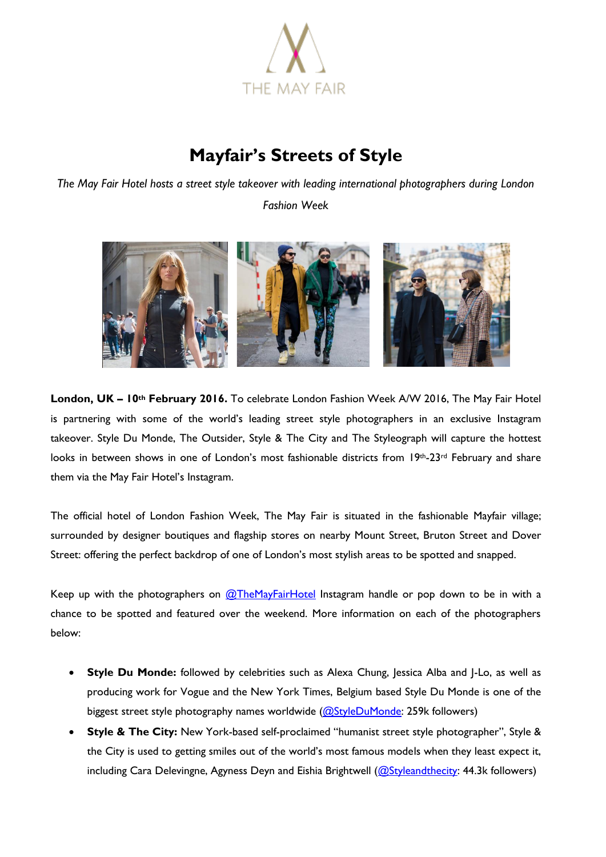

## **Mayfair's Streets of Style**

*The May Fair Hotel hosts a street style takeover with leading international photographers during London* 

*Fashion Week* 



**London, UK – 10th February 2016.** To celebrate London Fashion Week A/W 2016, The May Fair Hotel is partnering with some of the world's leading street style photographers in an exclusive Instagram takeover. Style Du Monde, The Outsider, Style & The City and The Styleograph will capture the hottest looks in between shows in one of London's most fashionable districts from 19th-23rd February and share them via the May Fair Hotel's Instagram.

The official hotel of London Fashion Week, The May Fair is situated in the fashionable Mayfair village; surrounded by designer boutiques and flagship stores on nearby Mount Street, Bruton Street and Dover Street: offering the perfect backdrop of one of London's most stylish areas to be spotted and snapped.

Keep up with the photographers on  $@$ TheMayFairHotel Instagram handle or pop down to be in with a chance to be spotted and featured over the weekend. More information on each of the photographers below:

- **Style Du Monde:** followed by celebrities such as Alexa Chung, Jessica Alba and J-Lo, as well as producing work for Vogue and the New York Times, Belgium based Style Du Monde is one of the biggest street style photography names worldwide [\(@StyleDuMonde:](https://www.instagram.com/styledumonde/?hl=en) 259k followers)
- **Style & The City:** New York-based self-proclaimed "humanist street style photographer", Style & the City is used to getting smiles out of the world's most famous models when they least expect it, including Cara Delevingne, Agyness Deyn and Eishia Brightwell  $(Q)$ Styleandthecity: 44.3k followers)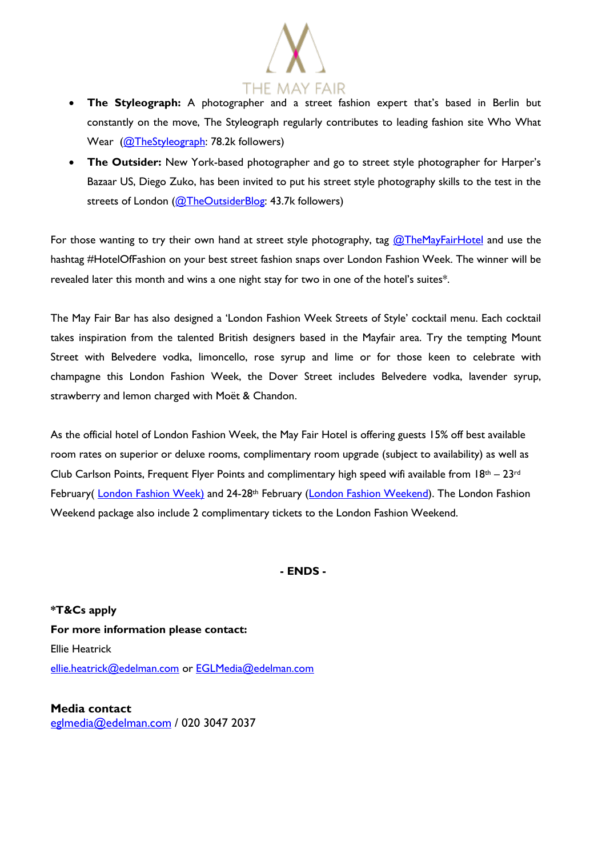

- **The Styleograph:** A photographer and a street fashion expert that's based in Berlin but constantly on the move, The Styleograph regularly contributes to leading fashion site Who What Wear [\(@TheStyleograph:](https://www.instagram.com/thestyleograph/) 78.2k followers)
- **The Outsider:** New York-based photographer and go to street style photographer for Harper's Bazaar US, Diego Zuko, has been invited to put his street style photography skills to the test in the streets of London [\(@TheOutsiderBlog:](https://www.instagram.com/theoutsiderblog/) 43.7k followers)

For those wanting to try their own hand at street style photography, tag  $@$ TheMayFairHotel and use the hashtag #HotelOfFashion on your best street fashion snaps over London Fashion Week. The winner will be revealed later this month and wins a one night stay for two in one of the hotel's suites\*.

The May Fair Bar has also designed a 'London Fashion Week Streets of Style' cocktail menu. Each cocktail takes inspiration from the talented British designers based in the Mayfair area. Try the tempting Mount Street with Belvedere vodka, limoncello, rose syrup and lime or for those keen to celebrate with champagne this London Fashion Week, the Dover Street includes Belvedere vodka, lavender syrup, strawberry and lemon charged with Moët & Chandon.

As the official hotel of London Fashion Week, the May Fair Hotel is offering guests 15% off best available room rates on superior or deluxe rooms, complimentary room upgrade (subject to availability) as well as Club Carlson Points, Frequent Flyer Points and complimentary high speed wifi available from  $18<sup>th</sup> - 23<sup>rd</sup>$ February( [London Fashion Week\)](http://www.themayfairhotel.co.uk/lfw) and 24-28<sup>th</sup> February [\(London Fashion Weekend\)](http://www.themayfairhotel.co.uk/london-fashion-weekend). The London Fashion Weekend package also include 2 complimentary tickets to the London Fashion Weekend.

## **- ENDS -**

**\*T&Cs apply For more information please contact:** Ellie Heatrick [ellie.heatrick@edelman.com](mailto:ellie.heatrick@edelman.com) or [EGLMedia@edelman.com](mailto:EGLMedia@edelman.com)

**Media contact** [eglmedia@edelman.com](mailto:eglmedia@edelman.com) / 020 3047 2037